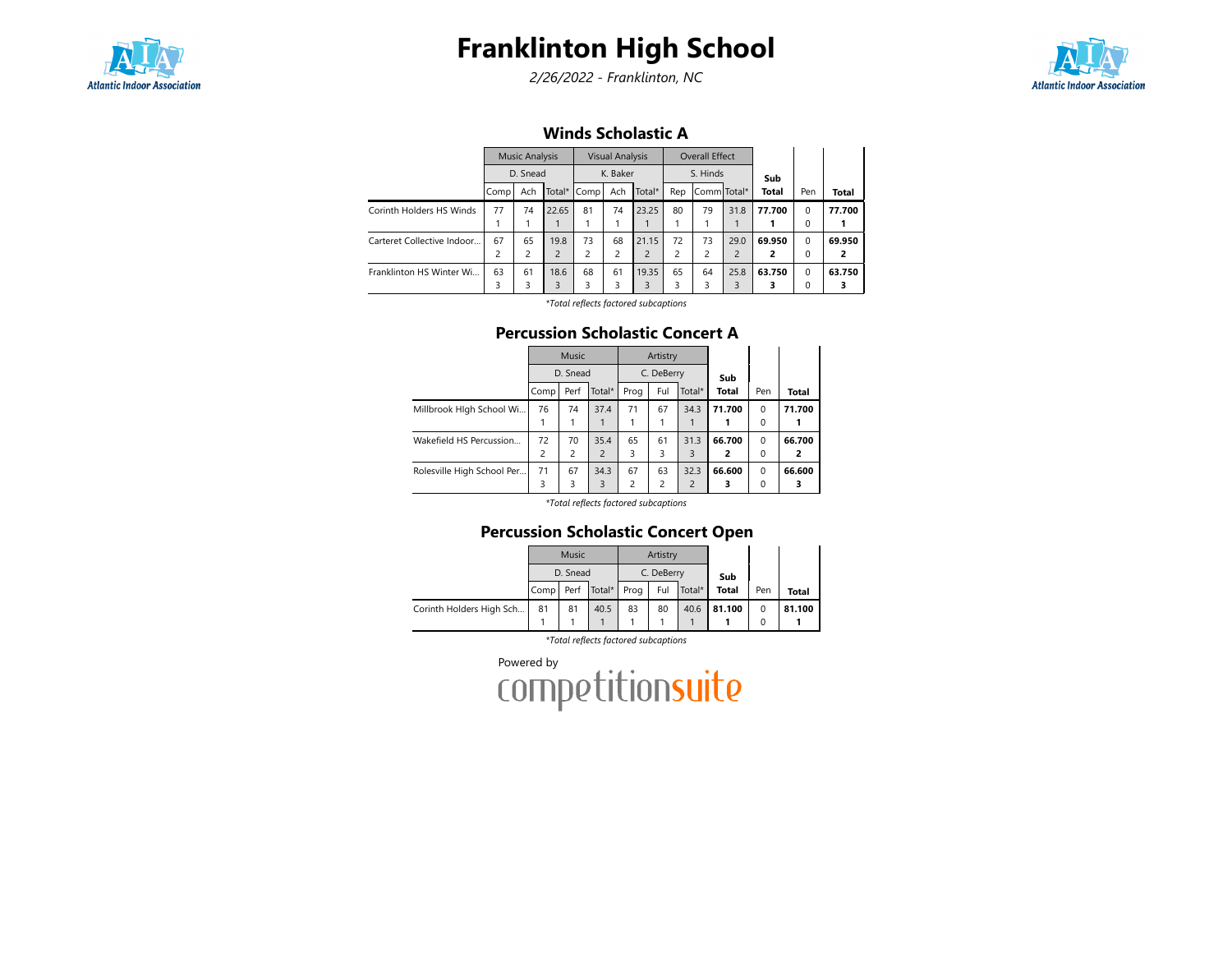

# Franklinton High School

2/26/2022 - Franklinton, NC



### Winds Scholastic A

|                            | <b>Music Analysis</b><br>D. Snead |     |                |                | <b>Visual Analysis</b> |                | <b>Overall Effect</b> |                |                |        |          |              |
|----------------------------|-----------------------------------|-----|----------------|----------------|------------------------|----------------|-----------------------|----------------|----------------|--------|----------|--------------|
|                            |                                   |     |                | K. Baker       |                        |                | S. Hinds              |                |                | Sub    |          |              |
|                            | Comp                              | Ach |                | Total* Comp    | Ach                    | Total*         | Rep                   | Comm Total*    |                | Total  | Pen      | <b>Total</b> |
| Corinth Holders HS Winds   | 77                                | 74  | 22.65          | 81             | 74                     | 23.25          | 80                    | 79             | 31.8           | 77.700 | $\Omega$ | 77.700       |
|                            |                                   |     |                |                |                        |                |                       |                |                |        | 0        |              |
| Carteret Collective Indoor | 67                                | 65  | 19.8           | 73             | 68                     | 21.15          | 72                    | 73             | 29.0           | 69.950 | $\Omega$ | 69.950       |
|                            | 2                                 | 2   | $\overline{2}$ | $\overline{c}$ | $\overline{c}$         | $\overline{c}$ | $\overline{c}$        | $\overline{c}$ | $\overline{2}$ | 2      | 0        | 2            |
| Franklinton HS Winter Wi   | 63                                | 61  | 18.6           | 68             | 61                     | 19.35          | 65                    | 64             | 25.8           | 63.750 | $\Omega$ | 63.750       |
|                            | 3                                 | 3   | 3              |                | 3                      | 3              | 3                     |                | 3              |        | 0        |              |

\*Total reflects factored subcaptions

#### Percussion Scholastic Concert A

|                            |      | <b>Music</b> |                |      | Artistry   |                |              |          |        |
|----------------------------|------|--------------|----------------|------|------------|----------------|--------------|----------|--------|
|                            |      | D. Snead     |                |      | C. DeBerry |                | Sub          |          |        |
|                            | Comp | Perf         | Total*         | Prog | Ful        | Total*         | <b>Total</b> | Pen      | Total  |
| Millbrook Hlgh School Wi   | 76   | 74           | 37.4           | 71   | 67         | 34.3           | 71.700       | $\Omega$ | 71.700 |
|                            |      |              |                |      |            |                |              | $\Omega$ |        |
| Wakefield HS Percussion    | 72   | 70           | 35.4           | 65   | 61         | 31.3           | 66.700       | $\Omega$ | 66.700 |
|                            | 2    | 2            | $\overline{2}$ | 3    | 3          | 3              | 2            | 0        | 2      |
| Rolesville High School Per | 71   | 67           | 34.3           | 67   | 63         | 32.3           | 66.600       | $\Omega$ | 66.600 |
|                            | 3    | 3            | 3              | 2    | 2          | $\overline{2}$ | 3            | 0        | з      |

\*Total reflects factored subcaptions

### Percussion Scholastic Concert Open

|                          |                       | Music    |      |    | Artistry   |        |              |     |        |
|--------------------------|-----------------------|----------|------|----|------------|--------|--------------|-----|--------|
|                          |                       | D. Snead |      |    | C. DeBerry |        | Sub          |     |        |
|                          | Comp Perf Total* Prog |          |      |    | Ful        | Total* | <b>Total</b> | Pen | Total  |
| Corinth Holders High Sch | 81                    | 81       | 40.5 | 83 | 80         | 40.6   | 81.100       |     | 81.100 |
|                          |                       |          |      |    |            |        |              |     |        |

\*Total reflects factored subcaptions

Powered by<br>COMPetitionsuite